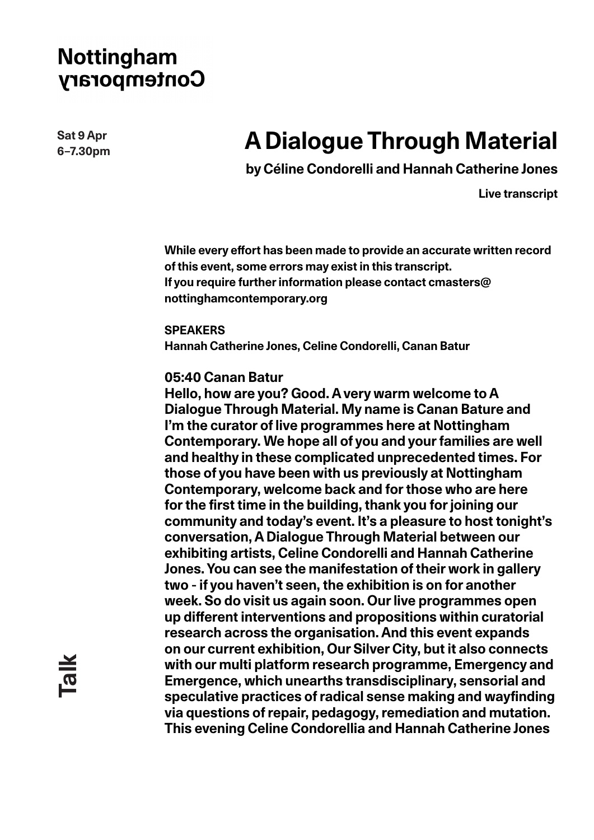**Sat 9 Apr 6–7.30pm**

# **A Dialogue Through Material**

 **by Céline Condorelli and Hannah Catherine Jones**

**Live transcript**

**While every effort has been made to provide an accurate written record of this event, some errors may exist in this transcript. If you require further information please contact cmasters@ nottinghamcontemporary.org**

**SPEAKERS Hannah Catherine Jones, Celine Condorelli, Canan Batur**

#### **05:40 Canan Batur**

**Hello, how are you? Good. A very warm welcome to A Dialogue Through Material. My name is Canan Bature and I'm the curator of live programmes here at Nottingham Contemporary. We hope all of you and your families are well and healthy in these complicated unprecedented times. For those of you have been with us previously at Nottingham Contemporary, welcome back and for those who are here for the first time in the building, thank you for joining our community and today's event. It's a pleasure to host tonight's conversation, A Dialogue Through Material between our exhibiting artists, Celine Condorelli and Hannah Catherine Jones. You can see the manifestation of their work in gallery two - if you haven't seen, the exhibition is on for another week. So do visit us again soon. Our live programmes open up different interventions and propositions within curatorial research across the organisation. And this event expands on our current exhibition, Our Silver City, but it also connects with our multi platform research programme, Emergency and Emergence, which unearths transdisciplinary, sensorial and speculative practices of radical sense making and wayfinding via questions of repair, pedagogy, remediation and mutation. This evening Celine Condorellia and Hannah Catherine Jones**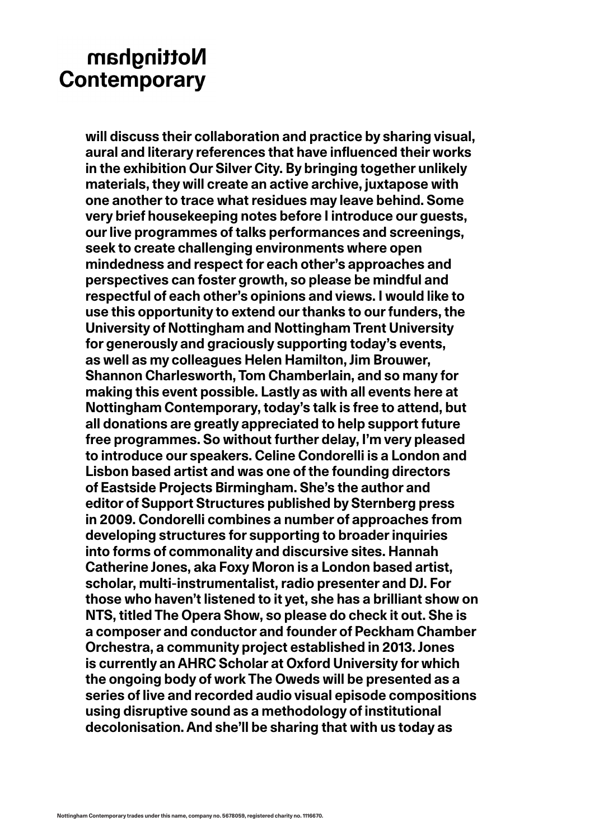**will discuss their collaboration and practice by sharing visual, aural and literary references that have influenced their works in the exhibition Our Silver City. By bringing together unlikely materials, they will create an active archive, juxtapose with one another to trace what residues may leave behind. Some very brief housekeeping notes before I introduce our guests, our live programmes of talks performances and screenings, seek to create challenging environments where open mindedness and respect for each other's approaches and perspectives can foster growth, so please be mindful and respectful of each other's opinions and views. I would like to use this opportunity to extend our thanks to our funders, the University of Nottingham and Nottingham Trent University for generously and graciously supporting today's events, as well as my colleagues Helen Hamilton, Jim Brouwer, Shannon Charlesworth, Tom Chamberlain, and so many for making this event possible. Lastly as with all events here at Nottingham Contemporary, today's talk is free to attend, but all donations are greatly appreciated to help support future free programmes. So without further delay, I'm very pleased to introduce our speakers. Celine Condorelli is a London and Lisbon based artist and was one of the founding directors of Eastside Projects Birmingham. She's the author and editor of Support Structures published by Sternberg press in 2009. Condorelli combines a number of approaches from developing structures for supporting to broader inquiries into forms of commonality and discursive sites. Hannah Catherine Jones, aka Foxy Moron is a London based artist, scholar, multi-instrumentalist, radio presenter and DJ. For those who haven't listened to it yet, she has a brilliant show on NTS, titled The Opera Show, so please do check it out. She is a composer and conductor and founder of Peckham Chamber Orchestra, a community project established in 2013. Jones is currently an AHRC Scholar at Oxford University for which the ongoing body of work The Oweds will be presented as a series of live and recorded audio visual episode compositions using disruptive sound as a methodology of institutional decolonisation. And she'll be sharing that with us today as**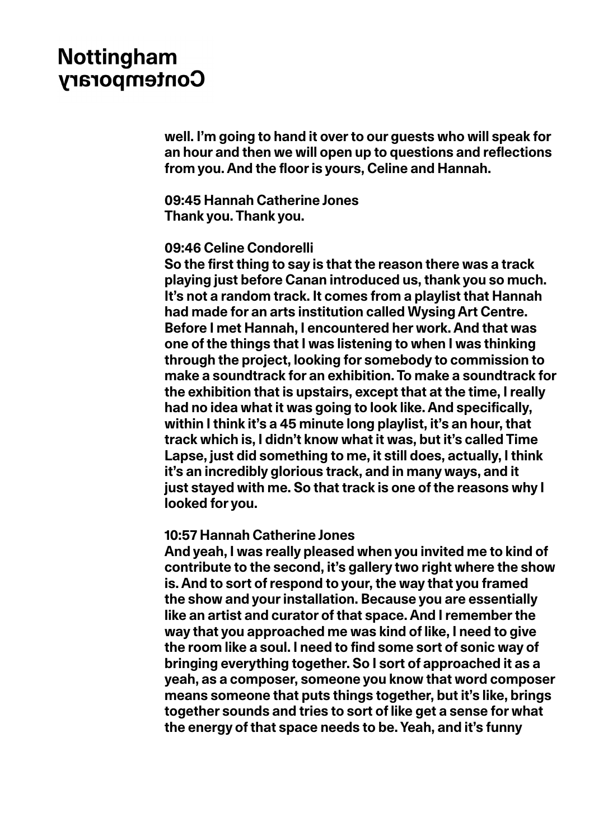**well. I'm going to hand it over to our guests who will speak for an hour and then we will open up to questions and reflections from you. And the floor is yours, Celine and Hannah.**

**09:45 Hannah Catherine Jones Thank you. Thank you.**

#### **09:46 Celine Condorelli**

**So the first thing to say is that the reason there was a track playing just before Canan introduced us, thank you so much. It's not a random track. It comes from a playlist that Hannah had made for an arts institution called Wysing Art Centre. Before I met Hannah, I encountered her work. And that was one of the things that I was listening to when I was thinking through the project, looking for somebody to commission to make a soundtrack for an exhibition. To make a soundtrack for the exhibition that is upstairs, except that at the time, I really had no idea what it was going to look like. And specifically, within I think it's a 45 minute long playlist, it's an hour, that track which is, I didn't know what it was, but it's called Time Lapse, just did something to me, it still does, actually, I think it's an incredibly glorious track, and in many ways, and it just stayed with me. So that track is one of the reasons why I looked for you.**

#### **10:57 Hannah Catherine Jones**

**And yeah, I was really pleased when you invited me to kind of contribute to the second, it's gallery two right where the show is. And to sort of respond to your, the way that you framed the show and your installation. Because you are essentially like an artist and curator of that space. And I remember the way that you approached me was kind of like, I need to give the room like a soul. I need to find some sort of sonic way of bringing everything together. So I sort of approached it as a yeah, as a composer, someone you know that word composer means someone that puts things together, but it's like, brings together sounds and tries to sort of like get a sense for what the energy of that space needs to be. Yeah, and it's funny**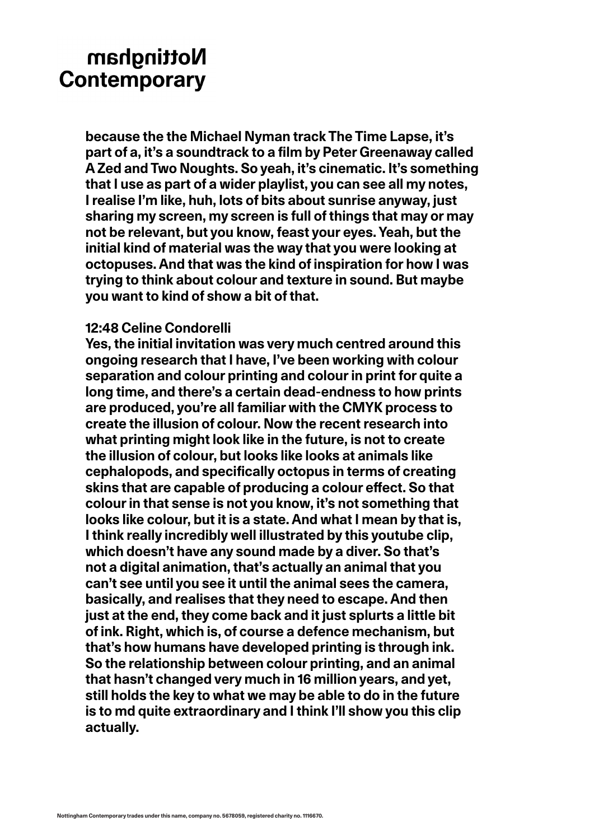**because the the Michael Nyman track The Time Lapse, it's part of a, it's a soundtrack to a film by Peter Greenaway called A Zed and Two Noughts. So yeah, it's cinematic. It's something that I use as part of a wider playlist, you can see all my notes, I realise I'm like, huh, lots of bits about sunrise anyway, just sharing my screen, my screen is full of things that may or may not be relevant, but you know, feast your eyes. Yeah, but the initial kind of material was the way that you were looking at octopuses. And that was the kind of inspiration for how I was trying to think about colour and texture in sound. But maybe you want to kind of show a bit of that.** 

### **12:48 Celine Condorelli**

**Yes, the initial invitation was very much centred around this ongoing research that I have, I've been working with colour separation and colour printing and colour in print for quite a long time, and there's a certain dead-endness to how prints are produced, you're all familiar with the CMYK process to create the illusion of colour. Now the recent research into what printing might look like in the future, is not to create the illusion of colour, but looks like looks at animals like cephalopods, and specifically octopus in terms of creating skins that are capable of producing a colour effect. So that colour in that sense is not you know, it's not something that looks like colour, but it is a state. And what I mean by that is, I think really incredibly well illustrated by this youtube clip, which doesn't have any sound made by a diver. So that's not a digital animation, that's actually an animal that you can't see until you see it until the animal sees the camera, basically, and realises that they need to escape. And then just at the end, they come back and it just splurts a little bit of ink. Right, which is, of course a defence mechanism, but that's how humans have developed printing is through ink. So the relationship between colour printing, and an animal that hasn't changed very much in 16 million years, and yet, still holds the key to what we may be able to do in the future is to md quite extraordinary and I think I'll show you this clip actually.**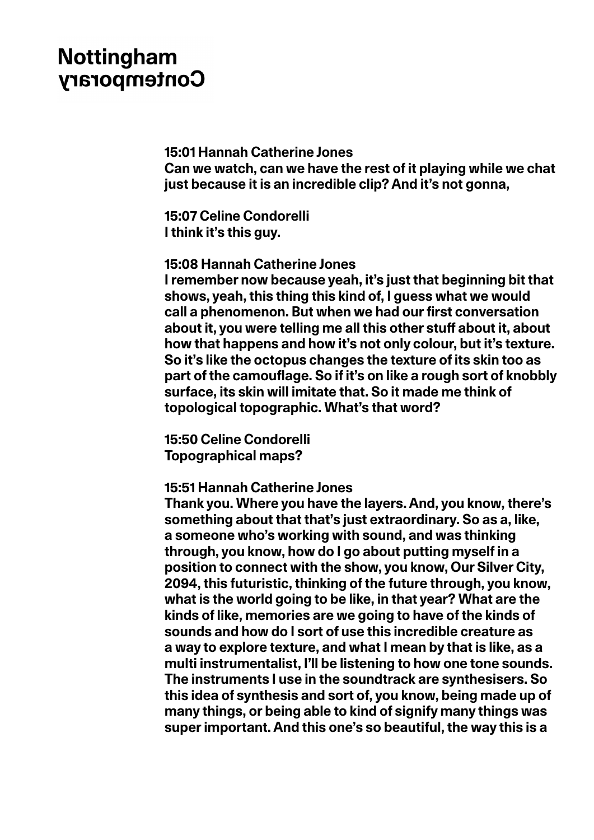**15:01 Hannah Catherine Jones Can we watch, can we have the rest of it playing while we chat just because it is an incredible clip? And it's not gonna,**

**15:07 Celine Condorelli I think it's this guy.**

### **15:08 Hannah Catherine Jones**

**I remember now because yeah, it's just that beginning bit that shows, yeah, this thing this kind of, I guess what we would call a phenomenon. But when we had our first conversation about it, you were telling me all this other stuff about it, about how that happens and how it's not only colour, but it's texture. So it's like the octopus changes the texture of its skin too as part of the camouflage. So if it's on like a rough sort of knobbly surface, its skin will imitate that. So it made me think of topological topographic. What's that word?**

**15:50 Celine Condorelli Topographical maps?** 

### **15:51 Hannah Catherine Jones**

**Thank you. Where you have the layers. And, you know, there's something about that that's just extraordinary. So as a, like, a someone who's working with sound, and was thinking through, you know, how do I go about putting myself in a position to connect with the show, you know, Our Silver City, 2094, this futuristic, thinking of the future through, you know, what is the world going to be like, in that year? What are the kinds of like, memories are we going to have of the kinds of sounds and how do I sort of use this incredible creature as a way to explore texture, and what I mean by that is like, as a multi instrumentalist, I'll be listening to how one tone sounds. The instruments I use in the soundtrack are synthesisers. So this idea of synthesis and sort of, you know, being made up of many things, or being able to kind of signify many things was super important. And this one's so beautiful, the way this is a**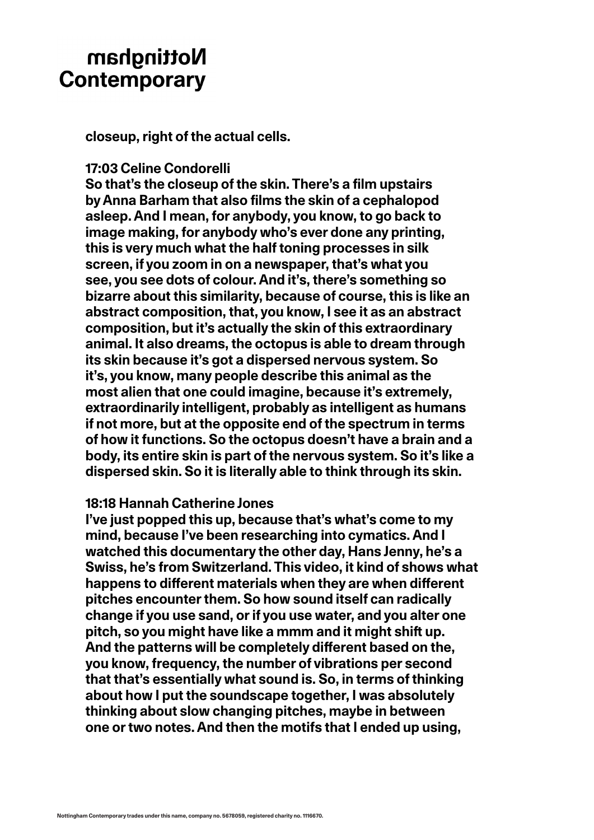**closeup, right of the actual cells.** 

#### **17:03 Celine Condorelli**

**So that's the closeup of the skin. There's a film upstairs by Anna Barham that also films the skin of a cephalopod asleep. And I mean, for anybody, you know, to go back to image making, for anybody who's ever done any printing, this is very much what the half toning processes in silk screen, if you zoom in on a newspaper, that's what you see, you see dots of colour. And it's, there's something so bizarre about this similarity, because of course, this is like an abstract composition, that, you know, I see it as an abstract composition, but it's actually the skin of this extraordinary animal. It also dreams, the octopus is able to dream through its skin because it's got a dispersed nervous system. So it's, you know, many people describe this animal as the most alien that one could imagine, because it's extremely, extraordinarily intelligent, probably as intelligent as humans if not more, but at the opposite end of the spectrum in terms of how it functions. So the octopus doesn't have a brain and a body, its entire skin is part of the nervous system. So it's like a dispersed skin. So it is literally able to think through its skin.**

#### **18:18 Hannah Catherine Jones**

**I've just popped this up, because that's what's come to my mind, because I've been researching into cymatics. And I watched this documentary the other day, Hans Jenny, he's a Swiss, he's from Switzerland. This video, it kind of shows what happens to different materials when they are when different pitches encounter them. So how sound itself can radically change if you use sand, or if you use water, and you alter one pitch, so you might have like a mmm and it might shift up. And the patterns will be completely different based on the, you know, frequency, the number of vibrations per second that that's essentially what sound is. So, in terms of thinking about how I put the soundscape together, I was absolutely thinking about slow changing pitches, maybe in between one or two notes. And then the motifs that I ended up using,**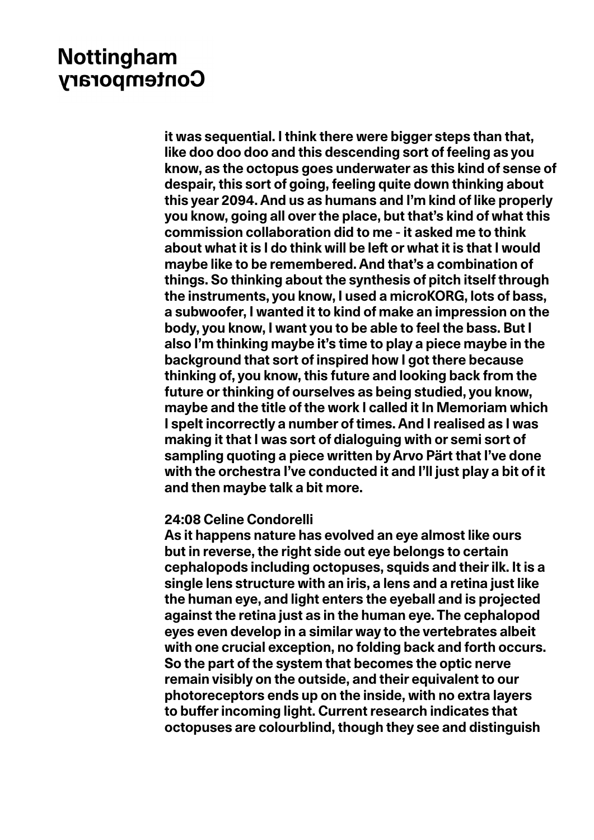**it was sequential. I think there were bigger steps than that, like doo doo doo and this descending sort of feeling as you know, as the octopus goes underwater as this kind of sense of despair, this sort of going, feeling quite down thinking about this year 2094. And us as humans and I'm kind of like properly you know, going all over the place, but that's kind of what this commission collaboration did to me - it asked me to think about what it is I do think will be left or what it is that I would maybe like to be remembered. And that's a combination of things. So thinking about the synthesis of pitch itself through the instruments, you know, I used a microKORG, lots of bass, a subwoofer, I wanted it to kind of make an impression on the body, you know, I want you to be able to feel the bass. But I also I'm thinking maybe it's time to play a piece maybe in the background that sort of inspired how I got there because thinking of, you know, this future and looking back from the future or thinking of ourselves as being studied, you know, maybe and the title of the work I called it In Memoriam which I spelt incorrectly a number of times. And I realised as I was making it that I was sort of dialoguing with or semi sort of sampling quoting a piece written by Arvo Pärt that I've done with the orchestra I've conducted it and I'll just play a bit of it and then maybe talk a bit more.**

#### **24:08 Celine Condorelli**

**As it happens nature has evolved an eye almost like ours but in reverse, the right side out eye belongs to certain cephalopods including octopuses, squids and their ilk. It is a single lens structure with an iris, a lens and a retina just like the human eye, and light enters the eyeball and is projected against the retina just as in the human eye. The cephalopod eyes even develop in a similar way to the vertebrates albeit with one crucial exception, no folding back and forth occurs. So the part of the system that becomes the optic nerve remain visibly on the outside, and their equivalent to our photoreceptors ends up on the inside, with no extra layers to buffer incoming light. Current research indicates that octopuses are colourblind, though they see and distinguish**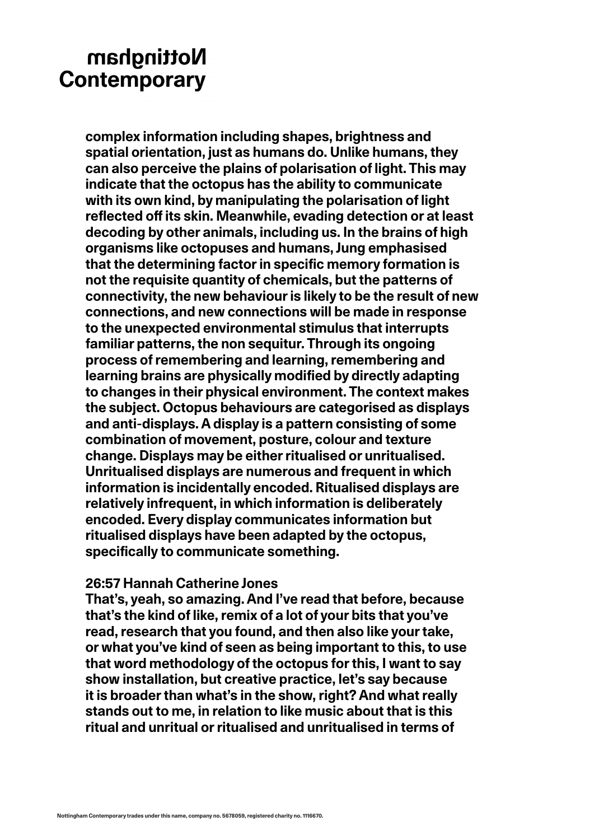**complex information including shapes, brightness and spatial orientation, just as humans do. Unlike humans, they can also perceive the plains of polarisation of light. This may indicate that the octopus has the ability to communicate with its own kind, by manipulating the polarisation of light reflected off its skin. Meanwhile, evading detection or at least decoding by other animals, including us. In the brains of high organisms like octopuses and humans, Jung emphasised that the determining factor in specific memory formation is not the requisite quantity of chemicals, but the patterns of connectivity, the new behaviour is likely to be the result of new connections, and new connections will be made in response to the unexpected environmental stimulus that interrupts familiar patterns, the non sequitur. Through its ongoing process of remembering and learning, remembering and learning brains are physically modified by directly adapting to changes in their physical environment. The context makes the subject. Octopus behaviours are categorised as displays and anti-displays. A display is a pattern consisting of some combination of movement, posture, colour and texture change. Displays may be either ritualised or unritualised. Unritualised displays are numerous and frequent in which information is incidentally encoded. Ritualised displays are relatively infrequent, in which information is deliberately encoded. Every display communicates information but ritualised displays have been adapted by the octopus, specifically to communicate something.**

### **26:57 Hannah Catherine Jones**

**That's, yeah, so amazing. And I've read that before, because that's the kind of like, remix of a lot of your bits that you've read, research that you found, and then also like your take, or what you've kind of seen as being important to this, to use that word methodology of the octopus for this, I want to say show installation, but creative practice, let's say because it is broader than what's in the show, right? And what really stands out to me, in relation to like music about that is this ritual and unritual or ritualised and unritualised in terms of**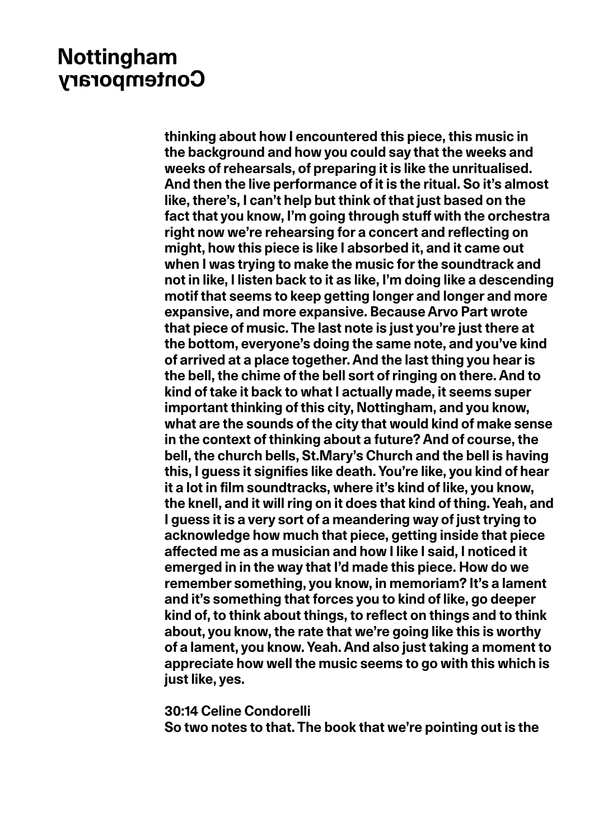**thinking about how I encountered this piece, this music in the background and how you could say that the weeks and weeks of rehearsals, of preparing it is like the unritualised. And then the live performance of it is the ritual. So it's almost like, there's, I can't help but think of that just based on the fact that you know, I'm going through stuff with the orchestra right now we're rehearsing for a concert and reflecting on might, how this piece is like I absorbed it, and it came out when I was trying to make the music for the soundtrack and not in like, I listen back to it as like, I'm doing like a descending motif that seems to keep getting longer and longer and more expansive, and more expansive. Because Arvo Part wrote that piece of music. The last note is just you're just there at the bottom, everyone's doing the same note, and you've kind of arrived at a place together. And the last thing you hear is the bell, the chime of the bell sort of ringing on there. And to kind of take it back to what I actually made, it seems super important thinking of this city, Nottingham, and you know, what are the sounds of the city that would kind of make sense in the context of thinking about a future? And of course, the bell, the church bells, St.Mary's Church and the bell is having this, I guess it signifies like death. You're like, you kind of hear it a lot in film soundtracks, where it's kind of like, you know, the knell, and it will ring on it does that kind of thing. Yeah, and I guess it is a very sort of a meandering way of just trying to acknowledge how much that piece, getting inside that piece affected me as a musician and how I like I said, I noticed it emerged in in the way that I'd made this piece. How do we remember something, you know, in memoriam? It's a lament and it's something that forces you to kind of like, go deeper kind of, to think about things, to reflect on things and to think about, you know, the rate that we're going like this is worthy of a lament, you know. Yeah. And also just taking a moment to appreciate how well the music seems to go with this which is just like, yes.**

#### **30:14 Celine Condorelli**

**So two notes to that. The book that we're pointing out is the**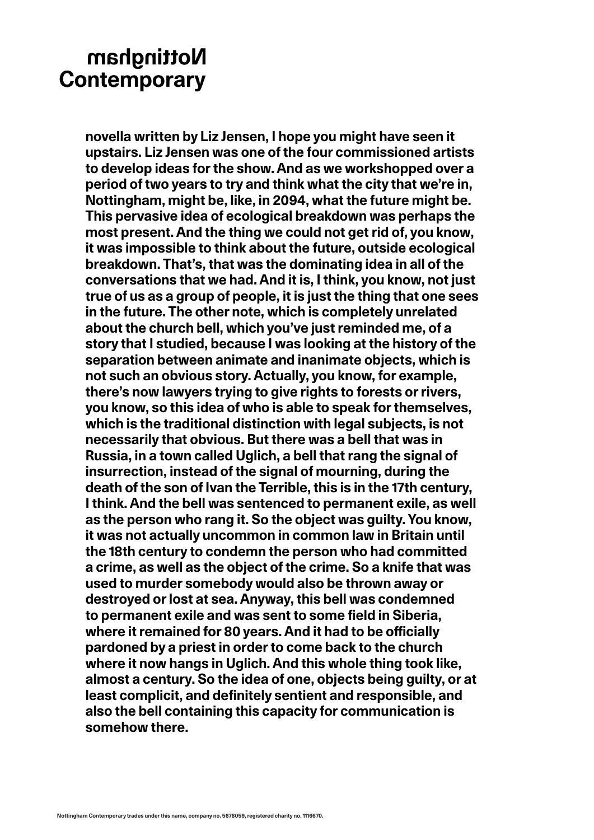**novella written by Liz Jensen, I hope you might have seen it upstairs. Liz Jensen was one of the four commissioned artists to develop ideas for the show. And as we workshopped over a period of two years to try and think what the city that we're in, Nottingham, might be, like, in 2094, what the future might be. This pervasive idea of ecological breakdown was perhaps the most present. And the thing we could not get rid of, you know, it was impossible to think about the future, outside ecological breakdown. That's, that was the dominating idea in all of the conversations that we had. And it is, I think, you know, not just true of us as a group of people, it is just the thing that one sees in the future. The other note, which is completely unrelated about the church bell, which you've just reminded me, of a story that I studied, because I was looking at the history of the separation between animate and inanimate objects, which is not such an obvious story. Actually, you know, for example, there's now lawyers trying to give rights to forests or rivers, you know, so this idea of who is able to speak for themselves, which is the traditional distinction with legal subjects, is not necessarily that obvious. But there was a bell that was in Russia, in a town called Uglich, a bell that rang the signal of insurrection, instead of the signal of mourning, during the death of the son of Ivan the Terrible, this is in the 17th century, I think. And the bell was sentenced to permanent exile, as well as the person who rang it. So the object was guilty. You know, it was not actually uncommon in common law in Britain until the 18th century to condemn the person who had committed a crime, as well as the object of the crime. So a knife that was used to murder somebody would also be thrown away or destroyed or lost at sea. Anyway, this bell was condemned to permanent exile and was sent to some field in Siberia, where it remained for 80 years. And it had to be officially pardoned by a priest in order to come back to the church where it now hangs in Uglich. And this whole thing took like, almost a century. So the idea of one, objects being guilty, or at least complicit, and definitely sentient and responsible, and also the bell containing this capacity for communication is somehow there.**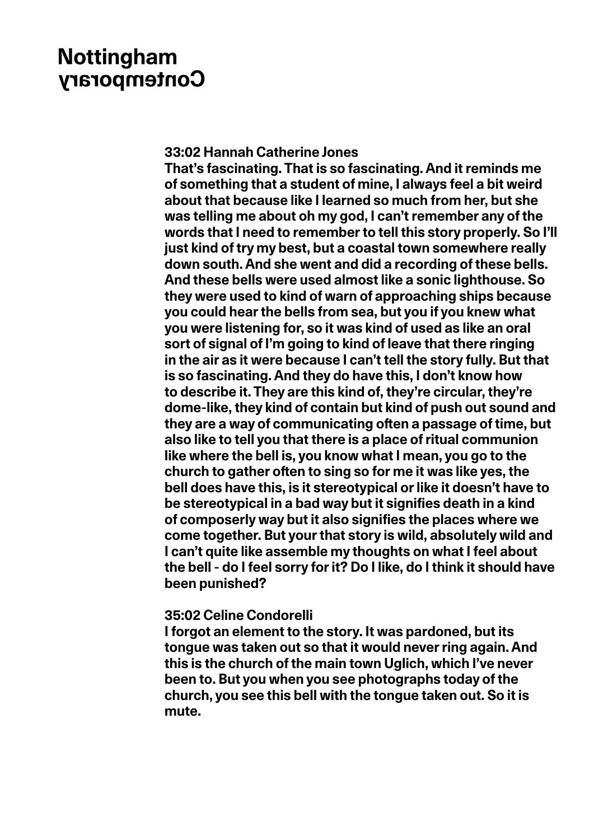#### **33:02 Hannah Catherine Jones**

**That's fascinating. That is so fascinating. And it reminds me of something that a student of mine, I always feel a bit weird about that because like I learned so much from her, but she was telling me about oh my god, I can't remember any of the words that I need to remember to tell this story properly. So I'll just kind of try my best, but a coastal town somewhere really down south. And she went and did a recording of these bells. And these bells were used almost like a sonic lighthouse. So they were used to kind of warn of approaching ships because you could hear the bells from sea, but you if you knew what you were listening for, so it was kind of used as like an oral sort of signal of I'm going to kind of leave that there ringing in the air as it were because I can't tell the story fully. But that is so fascinating. And they do have this, I don't know how to describe it. They are this kind of, they're circular, they're dome-like, they kind of contain but kind of push out sound and they are a way of communicating often a passage of time, but also like to tell you that there is a place of ritual communion like where the bell is, you know what I mean, you go to the church to gather often to sing so for me it was like yes, the bell does have this, is it stereotypical or like it doesn't have to be stereotypical in a bad way but it signifies death in a kind of composerly way but it also signifies the places where we come together. But your that story is wild, absolutely wild and I can't quite like assemble my thoughts on what I feel about the bell - do I feel sorry for it? Do I like, do I think it should have been punished?**

### **35:02 Celine Condorelli**

**I forgot an element to the story. It was pardoned, but its tongue was taken out so that it would never ring again. And this is the church of the main town Uglich, which I've never been to. But you when you see photographs today of the church, you see this bell with the tongue taken out. So it is mute.**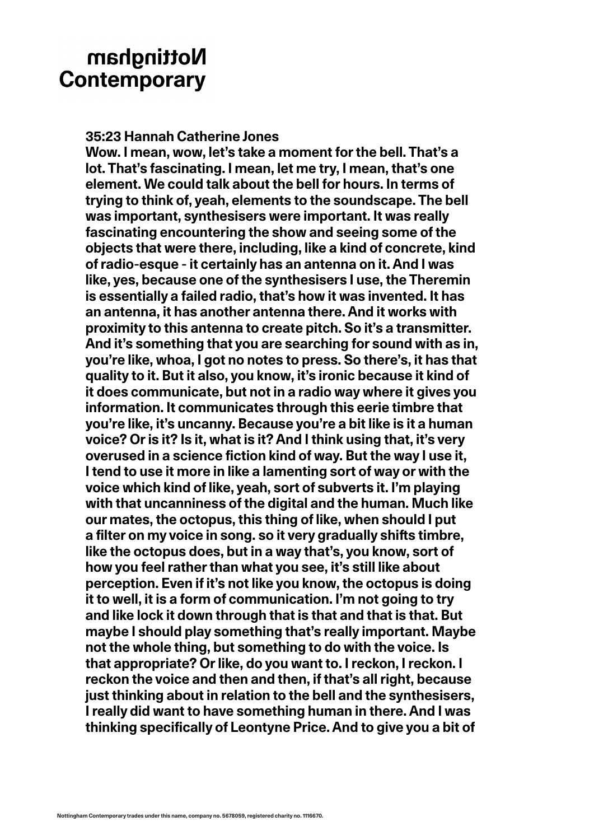**35:23 Hannah Catherine Jones**

**Wow. I mean, wow, let's take a moment for the bell. That's a lot. That's fascinating. I mean, let me try, I mean, that's one element. We could talk about the bell for hours. In terms of trying to think of, yeah, elements to the soundscape. The bell was important, synthesisers were important. It was really fascinating encountering the show and seeing some of the objects that were there, including, like a kind of concrete, kind of radio-esque - it certainly has an antenna on it. And I was like, yes, because one of the synthesisers I use, the Theremin is essentially a failed radio, that's how it was invented. It has an antenna, it has another antenna there. And it works with proximity to this antenna to create pitch. So it's a transmitter. And it's something that you are searching for sound with as in, you're like, whoa, I got no notes to press. So there's, it has that quality to it. But it also, you know, it's ironic because it kind of it does communicate, but not in a radio way where it gives you information. It communicates through this eerie timbre that you're like, it's uncanny. Because you're a bit like is it a human voice? Or is it? Is it, what is it? And I think using that, it's very overused in a science fiction kind of way. But the way I use it, I tend to use it more in like a lamenting sort of way or with the voice which kind of like, yeah, sort of subverts it. I'm playing with that uncanniness of the digital and the human. Much like our mates, the octopus, this thing of like, when should I put a filter on my voice in song. so it very gradually shifts timbre, like the octopus does, but in a way that's, you know, sort of how you feel rather than what you see, it's still like about perception. Even if it's not like you know, the octopus is doing it to well, it is a form of communication. I'm not going to try and like lock it down through that is that and that is that. But maybe I should play something that's really important. Maybe not the whole thing, but something to do with the voice. Is that appropriate? Or like, do you want to. I reckon, I reckon. I reckon the voice and then and then, if that's all right, because just thinking about in relation to the bell and the synthesisers, I really did want to have something human in there. And I was thinking specifically of Leontyne Price. And to give you a bit of**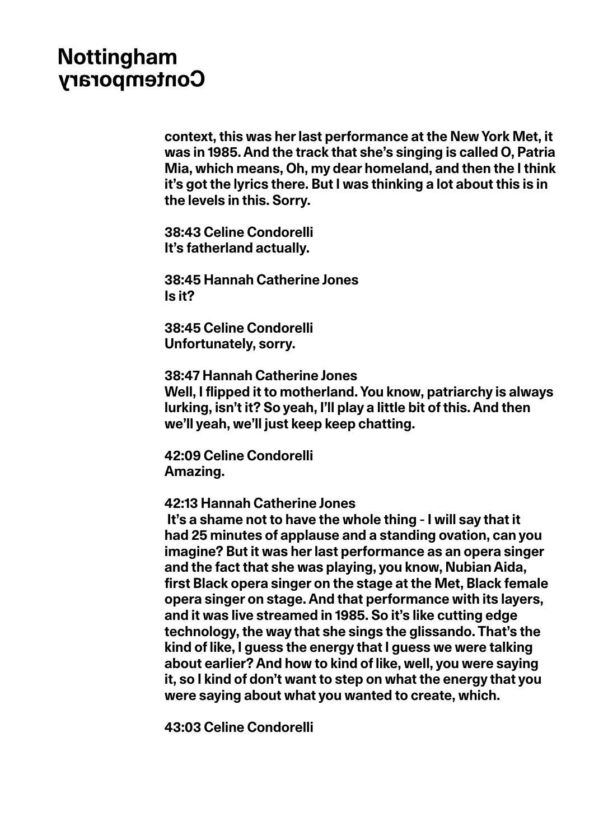**context, this was her last performance at the New York Met, it was in 1985. And the track that she's singing is called O, Patria Mia, which means, Oh, my dear homeland, and then the I think it's got the lyrics there. But I was thinking a lot about this is in the levels in this. Sorry.**

**38:43 Celine Condorelli It's fatherland actually.**

**38:45 Hannah Catherine Jones Is it?** 

**38:45 Celine Condorelli Unfortunately, sorry.**

**38:47 Hannah Catherine Jones** 

**Well, I flipped it to motherland. You know, patriarchy is always lurking, isn't it? So yeah, I'll play a little bit of this. And then we'll yeah, we'll just keep keep chatting.** 

**42:09 Celine Condorelli Amazing.**

**42:13 Hannah Catherine Jones** 

 **It's a shame not to have the whole thing - I will say that it had 25 minutes of applause and a standing ovation, can you imagine? But it was her last performance as an opera singer and the fact that she was playing, you know, Nubian Aida, first Black opera singer on the stage at the Met, Black female opera singer on stage. And that performance with its layers, and it was live streamed in 1985. So it's like cutting edge technology, the way that she sings the glissando. That's the kind of like, I guess the energy that I guess we were talking about earlier? And how to kind of like, well, you were saying it, so I kind of don't want to step on what the energy that you were saying about what you wanted to create, which.**

**43:03 Celine Condorelli**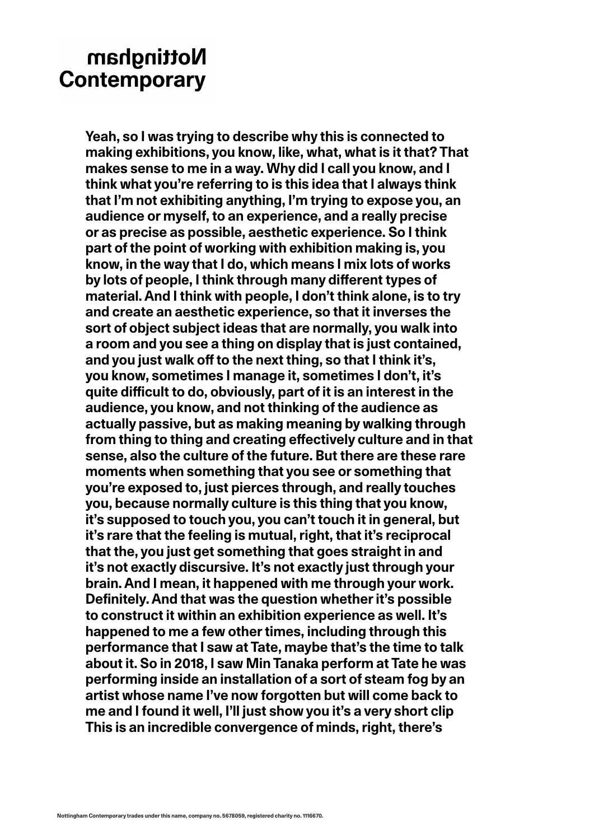**Yeah, so I was trying to describe why this is connected to making exhibitions, you know, like, what, what is it that? That makes sense to me in a way. Why did I call you know, and I think what you're referring to is this idea that I always think that I'm not exhibiting anything, I'm trying to expose you, an audience or myself, to an experience, and a really precise or as precise as possible, aesthetic experience. So I think part of the point of working with exhibition making is, you know, in the way that I do, which means I mix lots of works by lots of people, I think through many different types of material. And I think with people, I don't think alone, is to try and create an aesthetic experience, so that it inverses the sort of object subject ideas that are normally, you walk into a room and you see a thing on display that is just contained, and you just walk off to the next thing, so that I think it's, you know, sometimes I manage it, sometimes I don't, it's quite difficult to do, obviously, part of it is an interest in the audience, you know, and not thinking of the audience as actually passive, but as making meaning by walking through from thing to thing and creating effectively culture and in that sense, also the culture of the future. But there are these rare moments when something that you see or something that you're exposed to, just pierces through, and really touches you, because normally culture is this thing that you know, it's supposed to touch you, you can't touch it in general, but it's rare that the feeling is mutual, right, that it's reciprocal that the, you just get something that goes straight in and it's not exactly discursive. It's not exactly just through your brain. And I mean, it happened with me through your work. Definitely. And that was the question whether it's possible to construct it within an exhibition experience as well. It's happened to me a few other times, including through this performance that I saw at Tate, maybe that's the time to talk about it. So in 2018, I saw Min Tanaka perform at Tate he was performing inside an installation of a sort of steam fog by an artist whose name I've now forgotten but will come back to me and I found it well, I'll just show you it's a very short clip This is an incredible convergence of minds, right, there's**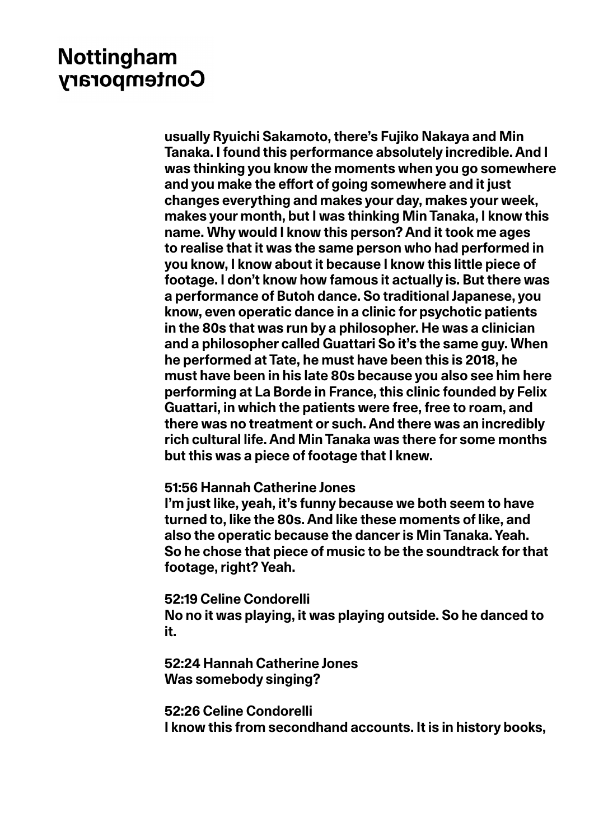**usually Ryuichi Sakamoto, there's Fujiko Nakaya and Min Tanaka. I found this performance absolutely incredible. And I was thinking you know the moments when you go somewhere and you make the effort of going somewhere and it just changes everything and makes your day, makes your week, makes your month, but I was thinking Min Tanaka, I know this name. Why would I know this person? And it took me ages to realise that it was the same person who had performed in you know, I know about it because I know this little piece of footage. I don't know how famous it actually is. But there was a performance of Butoh dance. So traditional Japanese, you know, even operatic dance in a clinic for psychotic patients in the 80s that was run by a philosopher. He was a clinician and a philosopher called Guattari So it's the same guy. When he performed at Tate, he must have been this is 2018, he must have been in his late 80s because you also see him here performing at La Borde in France, this clinic founded by Felix Guattari, in which the patients were free, free to roam, and there was no treatment or such. And there was an incredibly rich cultural life. And Min Tanaka was there for some months but this was a piece of footage that I knew.**

### **51:56 Hannah Catherine Jones**

**I'm just like, yeah, it's funny because we both seem to have turned to, like the 80s. And like these moments of like, and also the operatic because the dancer is Min Tanaka. Yeah. So he chose that piece of music to be the soundtrack for that footage, right? Yeah.** 

**52:19 Celine Condorelli** 

**No no it was playing, it was playing outside. So he danced to it.**

**52:24 Hannah Catherine Jones Was somebody singing?**

**52:26 Celine Condorelli I know this from secondhand accounts. It is in history books,**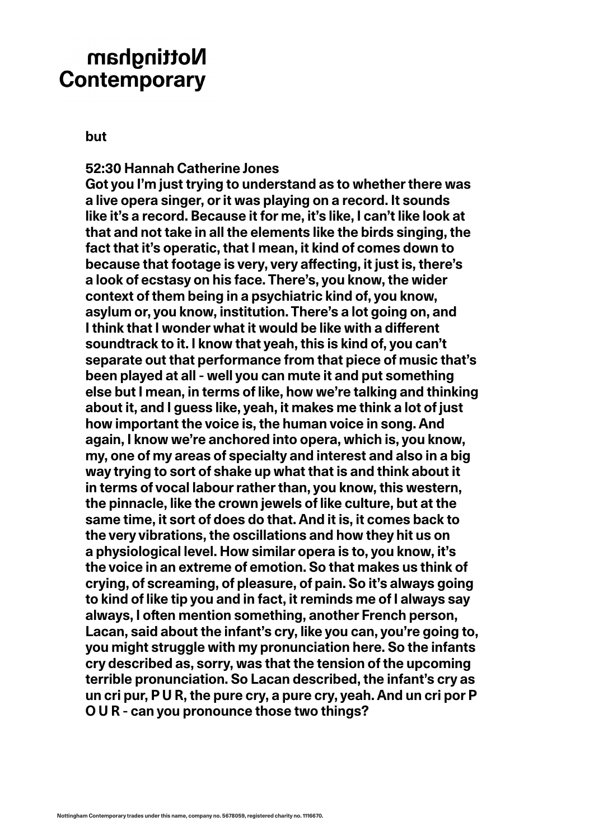**but**

**52:30 Hannah Catherine Jones Got you I'm just trying to understand as to whether there was a live opera singer, or it was playing on a record. It sounds like it's a record. Because it for me, it's like, I can't like look at that and not take in all the elements like the birds singing, the fact that it's operatic, that I mean, it kind of comes down to because that footage is very, very affecting, it just is, there's a look of ecstasy on his face. There's, you know, the wider context of them being in a psychiatric kind of, you know, asylum or, you know, institution. There's a lot going on, and I think that I wonder what it would be like with a different soundtrack to it. I know that yeah, this is kind of, you can't separate out that performance from that piece of music that's been played at all - well you can mute it and put something else but I mean, in terms of like, how we're talking and thinking about it, and I guess like, yeah, it makes me think a lot of just how important the voice is, the human voice in song. And again, I know we're anchored into opera, which is, you know, my, one of my areas of specialty and interest and also in a big way trying to sort of shake up what that is and think about it in terms of vocal labour rather than, you know, this western, the pinnacle, like the crown jewels of like culture, but at the same time, it sort of does do that. And it is, it comes back to the very vibrations, the oscillations and how they hit us on a physiological level. How similar opera is to, you know, it's the voice in an extreme of emotion. So that makes us think of crying, of screaming, of pleasure, of pain. So it's always going to kind of like tip you and in fact, it reminds me of I always say always, I often mention something, another French person, Lacan, said about the infant's cry, like you can, you're going to, you might struggle with my pronunciation here. So the infants cry described as, sorry, was that the tension of the upcoming terrible pronunciation. So Lacan described, the infant's cry as un cri pur, P U R, the pure cry, a pure cry, yeah. And un cri por P O U R - can you pronounce those two things?**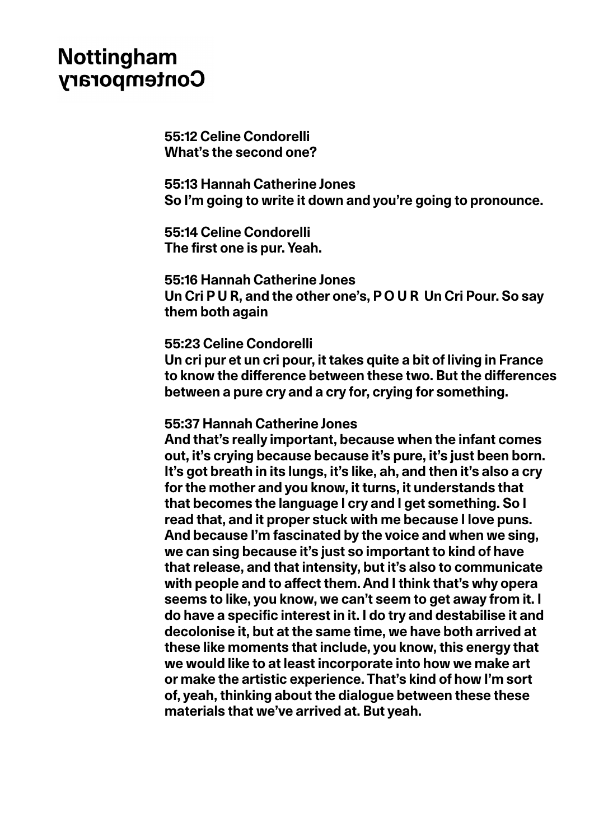**55:12 Celine Condorelli What's the second one?**

**55:13 Hannah Catherine Jones So I'm going to write it down and you're going to pronounce.** 

**55:14 Celine Condorelli The first one is pur. Yeah.**

**55:16 Hannah Catherine Jones Un Cri P U R, and the other one's, P O U R Un Cri Pour. So say them both again**

#### **55:23 Celine Condorelli**

**Un cri pur et un cri pour, it takes quite a bit of living in France to know the difference between these two. But the differences between a pure cry and a cry for, crying for something.**

### **55:37 Hannah Catherine Jones**

**And that's really important, because when the infant comes out, it's crying because because it's pure, it's just been born. It's got breath in its lungs, it's like, ah, and then it's also a cry for the mother and you know, it turns, it understands that that becomes the language I cry and I get something. So I read that, and it proper stuck with me because I love puns. And because I'm fascinated by the voice and when we sing, we can sing because it's just so important to kind of have that release, and that intensity, but it's also to communicate with people and to affect them. And I think that's why opera seems to like, you know, we can't seem to get away from it. I do have a specific interest in it. I do try and destabilise it and decolonise it, but at the same time, we have both arrived at these like moments that include, you know, this energy that we would like to at least incorporate into how we make art or make the artistic experience. That's kind of how I'm sort of, yeah, thinking about the dialogue between these these materials that we've arrived at. But yeah.**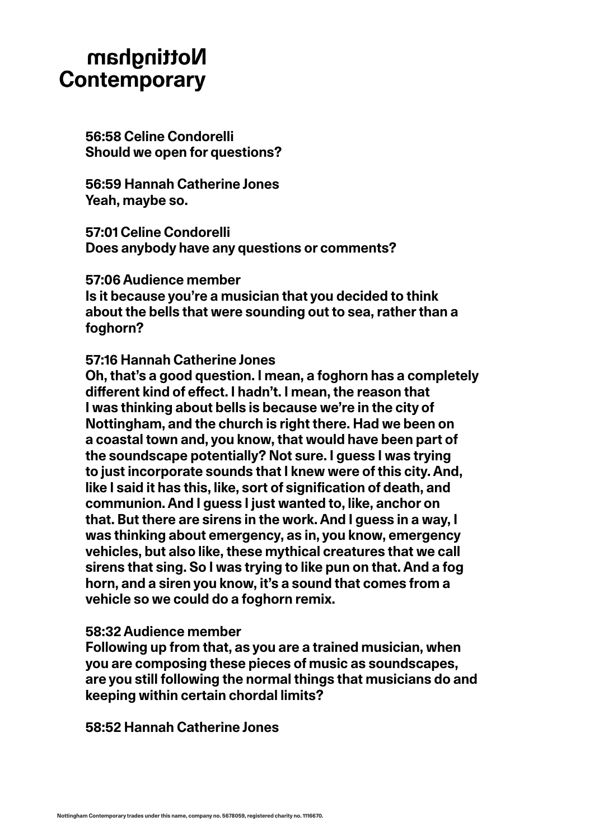**56:58 Celine Condorelli Should we open for questions?** 

**56:59 Hannah Catherine Jones Yeah, maybe so.**

**57:01 Celine Condorelli Does anybody have any questions or comments?**

**57:06 Audience member Is it because you're a musician that you decided to think about the bells that were sounding out to sea, rather than a foghorn?**

### **57:16 Hannah Catherine Jones**

**Oh, that's a good question. I mean, a foghorn has a completely different kind of effect. I hadn't. I mean, the reason that I was thinking about bells is because we're in the city of Nottingham, and the church is right there. Had we been on a coastal town and, you know, that would have been part of the soundscape potentially? Not sure. I guess I was trying to just incorporate sounds that I knew were of this city. And, like I said it has this, like, sort of signification of death, and communion. And I guess I just wanted to, like, anchor on that. But there are sirens in the work. And I guess in a way, I was thinking about emergency, as in, you know, emergency vehicles, but also like, these mythical creatures that we call sirens that sing. So I was trying to like pun on that. And a fog horn, and a siren you know, it's a sound that comes from a vehicle so we could do a foghorn remix.**

### **58:32 Audience member**

**Following up from that, as you are a trained musician, when you are composing these pieces of music as soundscapes, are you still following the normal things that musicians do and keeping within certain chordal limits?**

**58:52 Hannah Catherine Jones**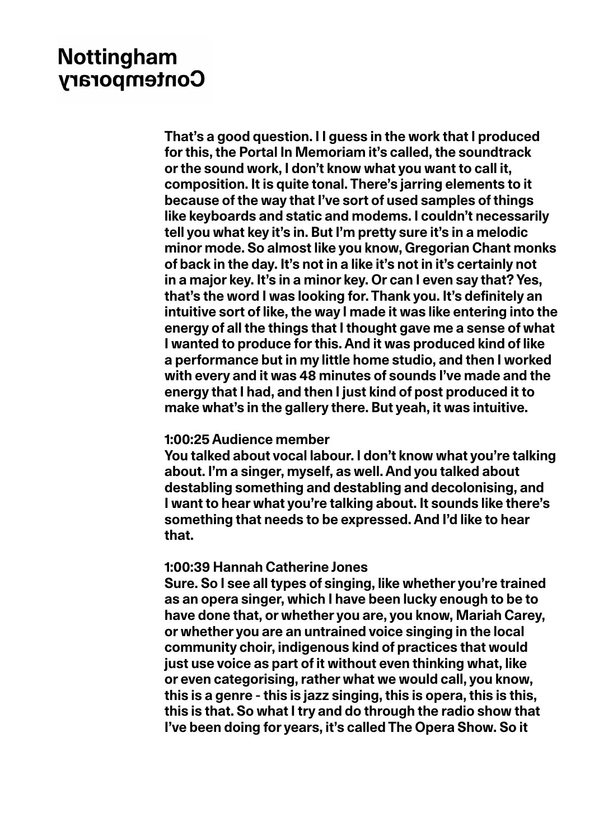**That's a good question. I I guess in the work that I produced for this, the Portal In Memoriam it's called, the soundtrack or the sound work, I don't know what you want to call it, composition. It is quite tonal. There's jarring elements to it because of the way that I've sort of used samples of things like keyboards and static and modems. I couldn't necessarily tell you what key it's in. But I'm pretty sure it's in a melodic minor mode. So almost like you know, Gregorian Chant monks of back in the day. It's not in a like it's not in it's certainly not in a major key. It's in a minor key. Or can I even say that? Yes, that's the word I was looking for. Thank you. It's definitely an intuitive sort of like, the way I made it was like entering into the energy of all the things that I thought gave me a sense of what I wanted to produce for this. And it was produced kind of like a performance but in my little home studio, and then I worked with every and it was 48 minutes of sounds I've made and the energy that I had, and then I just kind of post produced it to make what's in the gallery there. But yeah, it was intuitive.**

### **1:00:25 Audience member**

**You talked about vocal labour. I don't know what you're talking about. I'm a singer, myself, as well. And you talked about destabling something and destabling and decolonising, and I want to hear what you're talking about. It sounds like there's something that needs to be expressed. And I'd like to hear that.**

### **1:00:39 Hannah Catherine Jones**

**Sure. So I see all types of singing, like whether you're trained as an opera singer, which I have been lucky enough to be to have done that, or whether you are, you know, Mariah Carey, or whether you are an untrained voice singing in the local community choir, indigenous kind of practices that would just use voice as part of it without even thinking what, like or even categorising, rather what we would call, you know, this is a genre - this is jazz singing, this is opera, this is this, this is that. So what I try and do through the radio show that I've been doing for years, it's called The Opera Show. So it**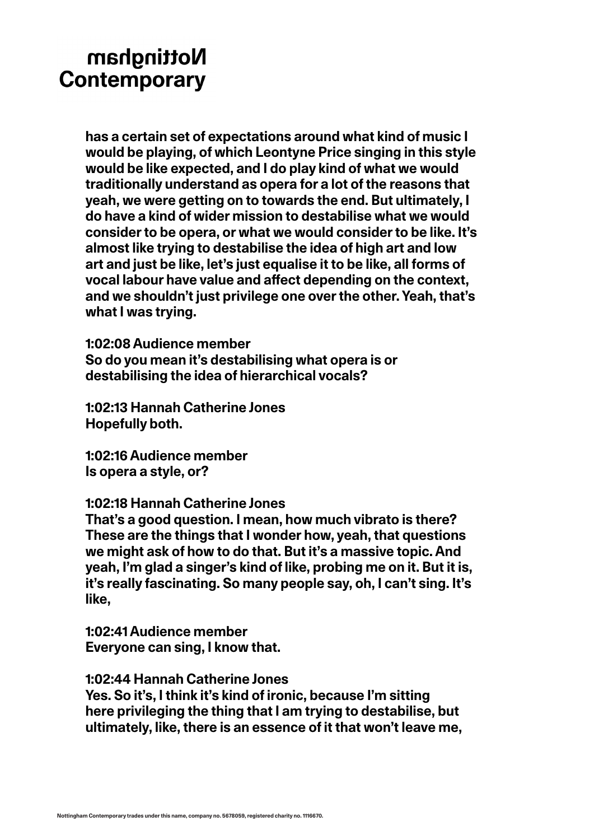**has a certain set of expectations around what kind of music I would be playing, of which Leontyne Price singing in this style would be like expected, and I do play kind of what we would traditionally understand as opera for a lot of the reasons that yeah, we were getting on to towards the end. But ultimately, I do have a kind of wider mission to destabilise what we would consider to be opera, or what we would consider to be like. It's almost like trying to destabilise the idea of high art and low art and just be like, let's just equalise it to be like, all forms of vocal labour have value and affect depending on the context, and we shouldn't just privilege one over the other. Yeah, that's what I was trying.**

**1:02:08 Audience member So do you mean it's destabilising what opera is or destabilising the idea of hierarchical vocals?** 

**1:02:13 Hannah Catherine Jones Hopefully both.** 

**1:02:16 Audience member Is opera a style, or?**

**1:02:18 Hannah Catherine Jones** 

**That's a good question. I mean, how much vibrato is there? These are the things that I wonder how, yeah, that questions we might ask of how to do that. But it's a massive topic. And yeah, I'm glad a singer's kind of like, probing me on it. But it is, it's really fascinating. So many people say, oh, I can't sing. It's like,**

**1:02:41 Audience member Everyone can sing, I know that.** 

**1:02:44 Hannah Catherine Jones Yes. So it's, I think it's kind of ironic, because I'm sitting here privileging the thing that I am trying to destabilise, but ultimately, like, there is an essence of it that won't leave me,**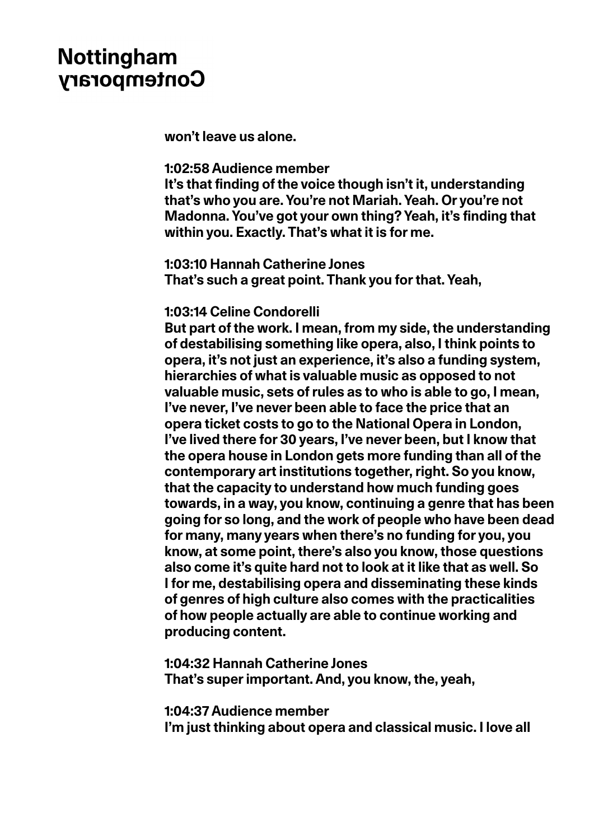**won't leave us alone.**

### **1:02:58 Audience member**

**It's that finding of the voice though isn't it, understanding that's who you are. You're not Mariah. Yeah. Or you're not Madonna. You've got your own thing? Yeah, it's finding that within you. Exactly. That's what it is for me.**

**1:03:10 Hannah Catherine Jones That's such a great point. Thank you for that. Yeah,**

### **1:03:14 Celine Condorelli**

**But part of the work. I mean, from my side, the understanding of destabilising something like opera, also, I think points to opera, it's not just an experience, it's also a funding system, hierarchies of what is valuable music as opposed to not valuable music, sets of rules as to who is able to go, I mean, I've never, I've never been able to face the price that an opera ticket costs to go to the National Opera in London, I've lived there for 30 years, I've never been, but I know that the opera house in London gets more funding than all of the contemporary art institutions together, right. So you know, that the capacity to understand how much funding goes towards, in a way, you know, continuing a genre that has been going for so long, and the work of people who have been dead for many, many years when there's no funding for you, you know, at some point, there's also you know, those questions also come it's quite hard not to look at it like that as well. So I for me, destabilising opera and disseminating these kinds of genres of high culture also comes with the practicalities of how people actually are able to continue working and producing content.**

**1:04:32 Hannah Catherine Jones That's super important. And, you know, the, yeah,**

**1:04:37 Audience member**

**I'm just thinking about opera and classical music. I love all**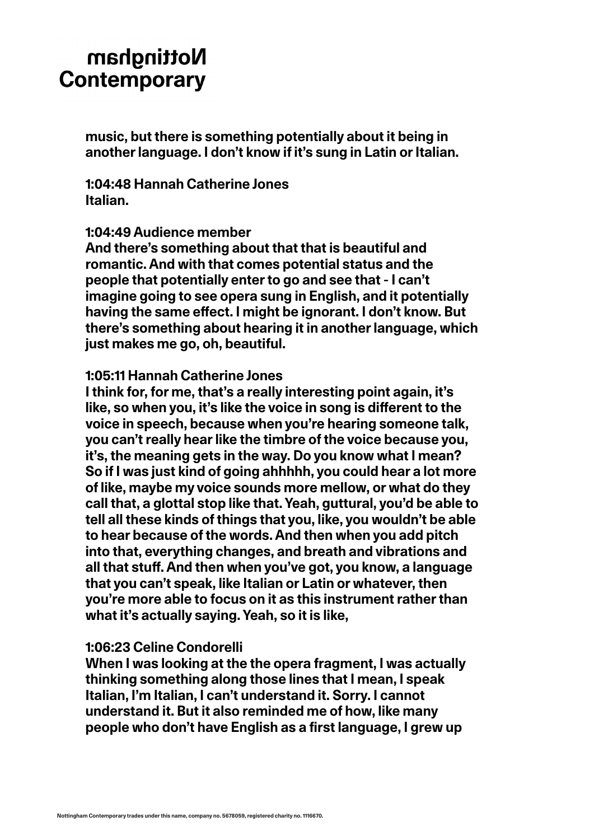**music, but there is something potentially about it being in another language. I don't know if it's sung in Latin or Italian.**

**1:04:48 Hannah Catherine Jones Italian.**

#### **1:04:49 Audience member**

**And there's something about that that is beautiful and romantic. And with that comes potential status and the people that potentially enter to go and see that - I can't imagine going to see opera sung in English, and it potentially having the same effect. I might be ignorant. I don't know. But there's something about hearing it in another language, which just makes me go, oh, beautiful.**

### **1:05:11 Hannah Catherine Jones**

**I think for, for me, that's a really interesting point again, it's like, so when you, it's like the voice in song is different to the voice in speech, because when you're hearing someone talk, you can't really hear like the timbre of the voice because you, it's, the meaning gets in the way. Do you know what I mean? So if I was just kind of going ahhhhh, you could hear a lot more of like, maybe my voice sounds more mellow, or what do they call that, a glottal stop like that. Yeah, guttural, you'd be able to tell all these kinds of things that you, like, you wouldn't be able to hear because of the words. And then when you add pitch into that, everything changes, and breath and vibrations and all that stuff. And then when you've got, you know, a language that you can't speak, like Italian or Latin or whatever, then you're more able to focus on it as this instrument rather than what it's actually saying. Yeah, so it is like,**

#### **1:06:23 Celine Condorelli**

**When I was looking at the the opera fragment, I was actually thinking something along those lines that I mean, I speak Italian, I'm Italian, I can't understand it. Sorry. I cannot understand it. But it also reminded me of how, like many people who don't have English as a first language, I grew up**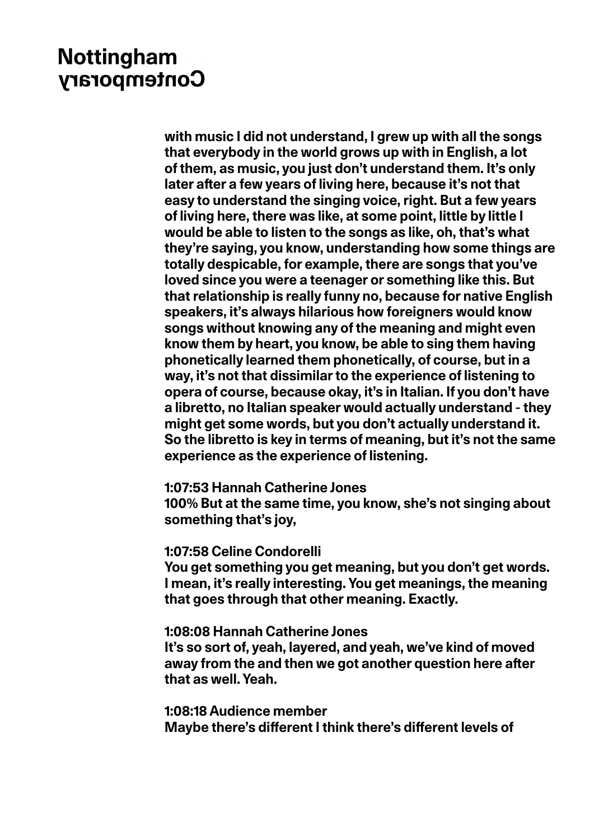**with music I did not understand, I grew up with all the songs that everybody in the world grows up with in English, a lot of them, as music, you just don't understand them. It's only later after a few years of living here, because it's not that easy to understand the singing voice, right. But a few years of living here, there was like, at some point, little by little I would be able to listen to the songs as like, oh, that's what they're saying, you know, understanding how some things are totally despicable, for example, there are songs that you've loved since you were a teenager or something like this. But that relationship is really funny no, because for native English speakers, it's always hilarious how foreigners would know songs without knowing any of the meaning and might even know them by heart, you know, be able to sing them having phonetically learned them phonetically, of course, but in a way, it's not that dissimilar to the experience of listening to opera of course, because okay, it's in Italian. If you don't have a libretto, no Italian speaker would actually understand - they might get some words, but you don't actually understand it. So the libretto is key in terms of meaning, but it's not the same experience as the experience of listening.**

#### **1:07:53 Hannah Catherine Jones**

**100% But at the same time, you know, she's not singing about something that's joy,**

#### **1:07:58 Celine Condorelli**

**You get something you get meaning, but you don't get words. I mean, it's really interesting. You get meanings, the meaning that goes through that other meaning. Exactly.**

### **1:08:08 Hannah Catherine Jones**

**It's so sort of, yeah, layered, and yeah, we've kind of moved away from the and then we got another question here after that as well. Yeah.**

**1:08:18 Audience member Maybe there's different I think there's different levels of**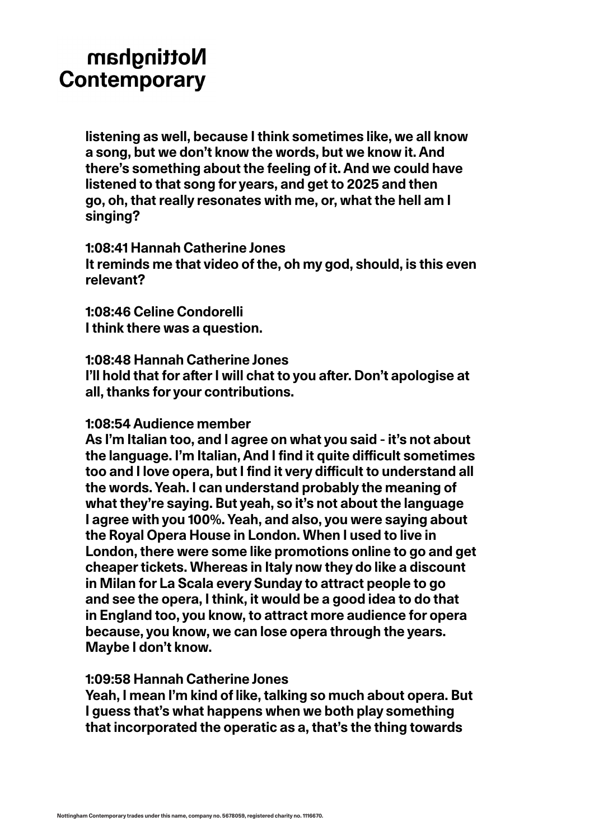**listening as well, because I think sometimes like, we all know a song, but we don't know the words, but we know it. And there's something about the feeling of it. And we could have listened to that song for years, and get to 2025 and then go, oh, that really resonates with me, or, what the hell am I singing?**

**1:08:41 Hannah Catherine Jones It reminds me that video of the, oh my god, should, is this even relevant?**

**1:08:46 Celine Condorelli I think there was a question.**

**1:08:48 Hannah Catherine Jones I'll hold that for after I will chat to you after. Don't apologise at all, thanks for your contributions.**

### **1:08:54 Audience member**

**As I'm Italian too, and I agree on what you said - it's not about the language. I'm Italian, And I find it quite difficult sometimes too and I love opera, but I find it very difficult to understand all the words. Yeah. I can understand probably the meaning of what they're saying. But yeah, so it's not about the language I agree with you 100%. Yeah, and also, you were saying about the Royal Opera House in London. When I used to live in London, there were some like promotions online to go and get cheaper tickets. Whereas in Italy now they do like a discount in Milan for La Scala every Sunday to attract people to go and see the opera, I think, it would be a good idea to do that in England too, you know, to attract more audience for opera because, you know, we can lose opera through the years. Maybe I don't know.**

### **1:09:58 Hannah Catherine Jones**

**Yeah, I mean I'm kind of like, talking so much about opera. But I guess that's what happens when we both play something that incorporated the operatic as a, that's the thing towards**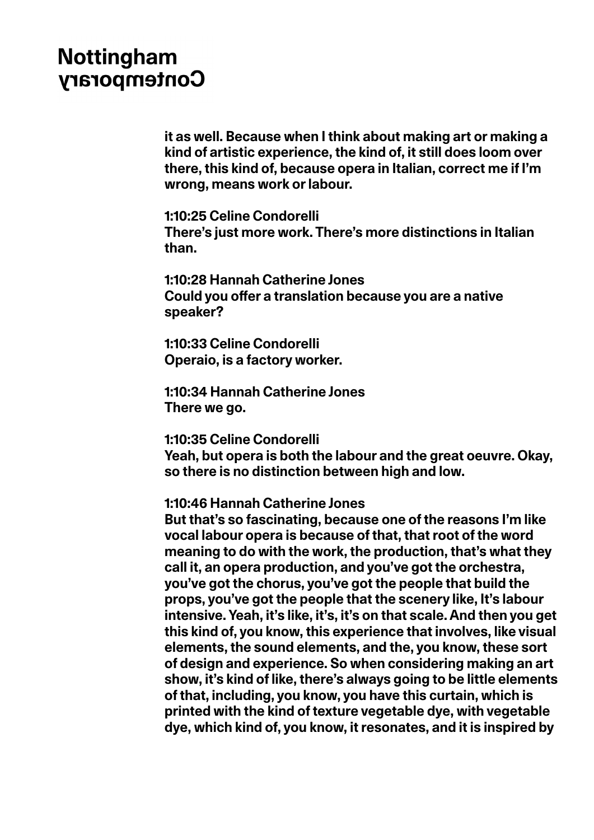**it as well. Because when I think about making art or making a kind of artistic experience, the kind of, it still does loom over there, this kind of, because opera in Italian, correct me if I'm wrong, means work or labour.**

**1:10:25 Celine Condorelli There's just more work. There's more distinctions in Italian than.**

**1:10:28 Hannah Catherine Jones Could you offer a translation because you are a native speaker?**

**1:10:33 Celine Condorelli Operaio, is a factory worker.**

**1:10:34 Hannah Catherine Jones There we go.** 

**1:10:35 Celine Condorelli** 

**Yeah, but opera is both the labour and the great oeuvre. Okay, so there is no distinction between high and low.**

**1:10:46 Hannah Catherine Jones** 

**But that's so fascinating, because one of the reasons I'm like vocal labour opera is because of that, that root of the word meaning to do with the work, the production, that's what they call it, an opera production, and you've got the orchestra, you've got the chorus, you've got the people that build the props, you've got the people that the scenery like, It's labour intensive. Yeah, it's like, it's, it's on that scale. And then you get this kind of, you know, this experience that involves, like visual elements, the sound elements, and the, you know, these sort of design and experience. So when considering making an art show, it's kind of like, there's always going to be little elements of that, including, you know, you have this curtain, which is printed with the kind of texture vegetable dye, with vegetable dye, which kind of, you know, it resonates, and it is inspired by**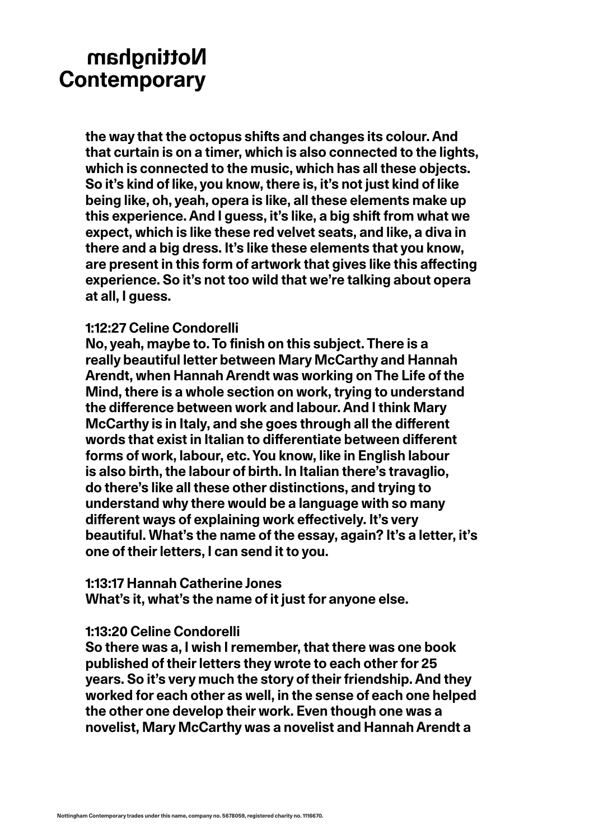**the way that the octopus shifts and changes its colour. And that curtain is on a timer, which is also connected to the lights, which is connected to the music, which has all these objects. So it's kind of like, you know, there is, it's not just kind of like being like, oh, yeah, opera is like, all these elements make up this experience. And I guess, it's like, a big shift from what we expect, which is like these red velvet seats, and like, a diva in there and a big dress. It's like these elements that you know, are present in this form of artwork that gives like this affecting experience. So it's not too wild that we're talking about opera at all, I guess.**

### **1:12:27 Celine Condorelli**

**No, yeah, maybe to. To finish on this subject. There is a really beautiful letter between Mary McCarthy and Hannah Arendt, when Hannah Arendt was working on The Life of the Mind, there is a whole section on work, trying to understand the difference between work and labour. And I think Mary McCarthy is in Italy, and she goes through all the different words that exist in Italian to differentiate between different forms of work, labour, etc. You know, like in English labour is also birth, the labour of birth. In Italian there's travaglio, do there's like all these other distinctions, and trying to understand why there would be a language with so many different ways of explaining work effectively. It's very beautiful. What's the name of the essay, again? It's a letter, it's one of their letters, I can send it to you.** 

### **1:13:17 Hannah Catherine Jones**

**What's it, what's the name of it just for anyone else.**

### **1:13:20 Celine Condorelli**

**So there was a, I wish I remember, that there was one book published of their letters they wrote to each other for 25 years. So it's very much the story of their friendship. And they worked for each other as well, in the sense of each one helped the other one develop their work. Even though one was a novelist, Mary McCarthy was a novelist and Hannah Arendt a**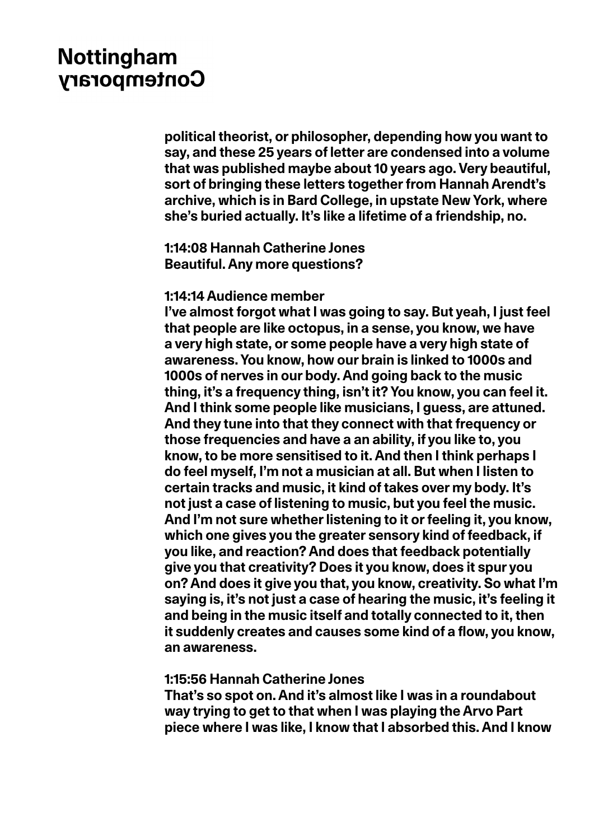**political theorist, or philosopher, depending how you want to say, and these 25 years of letter are condensed into a volume that was published maybe about 10 years ago. Very beautiful, sort of bringing these letters together from Hannah Arendt's archive, which is in Bard College, in upstate New York, where she's buried actually. It's like a lifetime of a friendship, no.** 

**1:14:08 Hannah Catherine Jones Beautiful. Any more questions?**

#### **1:14:14 Audience member**

**I've almost forgot what I was going to say. But yeah, I just feel that people are like octopus, in a sense, you know, we have a very high state, or some people have a very high state of awareness. You know, how our brain is linked to 1000s and 1000s of nerves in our body. And going back to the music thing, it's a frequency thing, isn't it? You know, you can feel it. And I think some people like musicians, I guess, are attuned. And they tune into that they connect with that frequency or those frequencies and have a an ability, if you like to, you know, to be more sensitised to it. And then I think perhaps I do feel myself, I'm not a musician at all. But when I listen to certain tracks and music, it kind of takes over my body. It's not just a case of listening to music, but you feel the music. And I'm not sure whether listening to it or feeling it, you know, which one gives you the greater sensory kind of feedback, if you like, and reaction? And does that feedback potentially give you that creativity? Does it you know, does it spur you on? And does it give you that, you know, creativity. So what I'm saying is, it's not just a case of hearing the music, it's feeling it and being in the music itself and totally connected to it, then it suddenly creates and causes some kind of a flow, you know, an awareness.**

### **1:15:56 Hannah Catherine Jones**

**That's so spot on. And it's almost like I was in a roundabout way trying to get to that when I was playing the Arvo Part piece where I was like, I know that I absorbed this. And I know**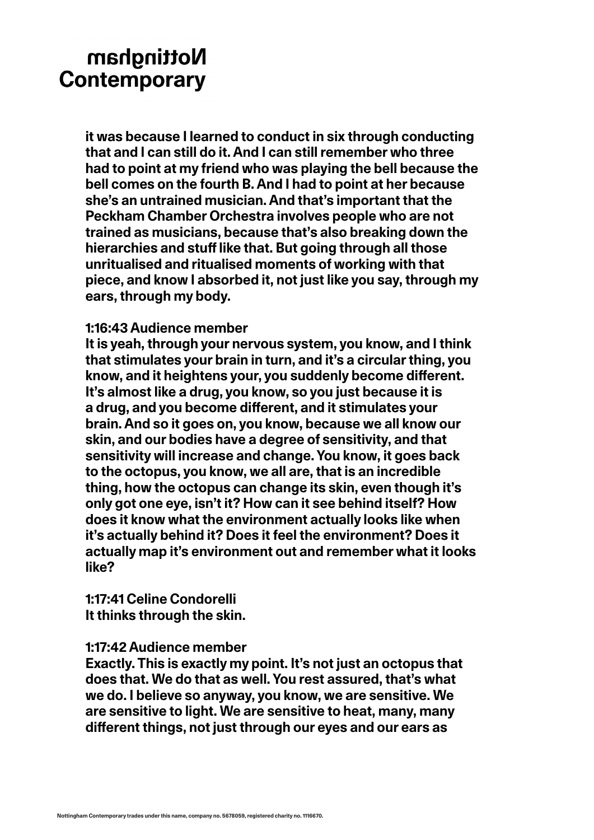**it was because I learned to conduct in six through conducting that and I can still do it. And I can still remember who three had to point at my friend who was playing the bell because the bell comes on the fourth B. And I had to point at her because she's an untrained musician. And that's important that the Peckham Chamber Orchestra involves people who are not trained as musicians, because that's also breaking down the hierarchies and stuff like that. But going through all those unritualised and ritualised moments of working with that piece, and know I absorbed it, not just like you say, through my ears, through my body.**

### **1:16:43 Audience member**

**It is yeah, through your nervous system, you know, and I think that stimulates your brain in turn, and it's a circular thing, you know, and it heightens your, you suddenly become different. It's almost like a drug, you know, so you just because it is a drug, and you become different, and it stimulates your brain. And so it goes on, you know, because we all know our skin, and our bodies have a degree of sensitivity, and that sensitivity will increase and change. You know, it goes back to the octopus, you know, we all are, that is an incredible thing, how the octopus can change its skin, even though it's only got one eye, isn't it? How can it see behind itself? How does it know what the environment actually looks like when it's actually behind it? Does it feel the environment? Does it actually map it's environment out and remember what it looks like?**

**1:17:41 Celine Condorelli It thinks through the skin.**

### **1:17:42 Audience member**

**Exactly. This is exactly my point. It's not just an octopus that does that. We do that as well. You rest assured, that's what we do. I believe so anyway, you know, we are sensitive. We are sensitive to light. We are sensitive to heat, many, many different things, not just through our eyes and our ears as**